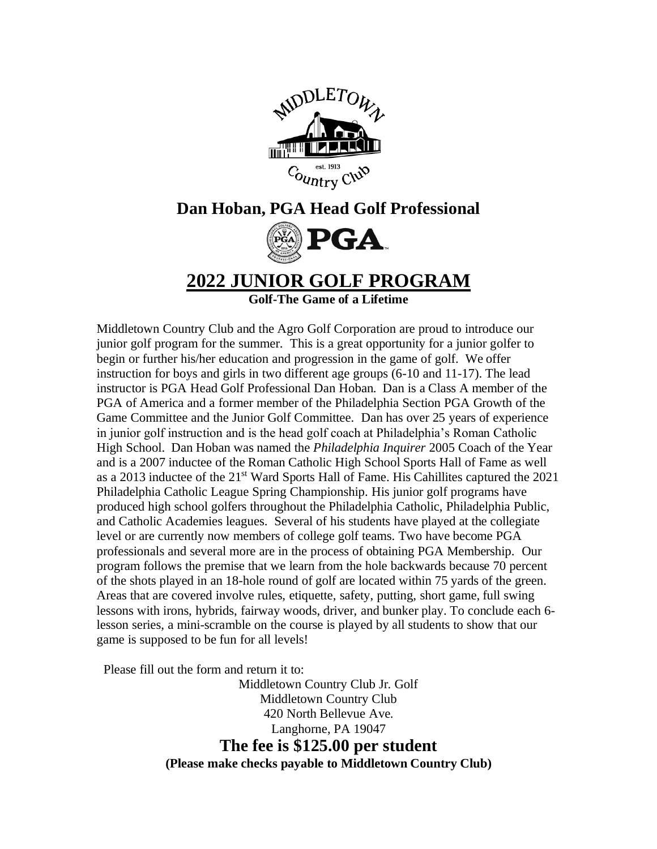

## **Dan Hoban, PGA Head Golf Professional**



**2022 JUNIOR GOLF PROGRAM**

**Golf-The Game of a Lifetime**

Middletown Country Club and the Agro Golf Corporation are proud to introduce our junior golf program for the summer. This is a great opportunity for a junior golfer to begin or further his/her education and progression in the game of golf. We offer instruction for boys and girls in two different age groups (6-10 and 11-17). The lead instructor is PGA Head Golf Professional Dan Hoban. Dan is a Class A member of the PGA of America and a former member of the Philadelphia Section PGA Growth of the Game Committee and the Junior Golf Committee. Dan has over 25 years of experience in junior golf instruction and is the head golf coach at Philadelphia's Roman Catholic High School. Dan Hoban was named the *Philadelphia Inquirer* 2005 Coach of the Year and is a 2007 inductee of the Roman Catholic High School Sports Hall of Fame as well as a 2013 inductee of the 21st Ward Sports Hall of Fame. His Cahillites captured the 2021 Philadelphia Catholic League Spring Championship. His junior golf programs have produced high school golfers throughout the Philadelphia Catholic, Philadelphia Public, and Catholic Academies leagues. Several of his students have played at the collegiate level or are currently now members of college golf teams. Two have become PGA professionals and several more are in the process of obtaining PGA Membership. Our program follows the premise that we learn from the hole backwards because 70 percent of the shots played in an 18-hole round of golf are located within 75 yards of the green. Areas that are covered involve rules, etiquette, safety, putting, short game, full swing lessons with irons, hybrids, fairway woods, driver, and bunker play. To conclude each 6 lesson series, a mini-scramble on the course is played by all students to show that our game is supposed to be fun for all levels!

Please fill out the form and return it to:

Middletown Country Club Jr. Golf Middletown Country Club 420 North Bellevue Ave. Langhorne, PA 19047 **The fee is \$125.00 per student (Please make checks payable to Middletown Country Club)**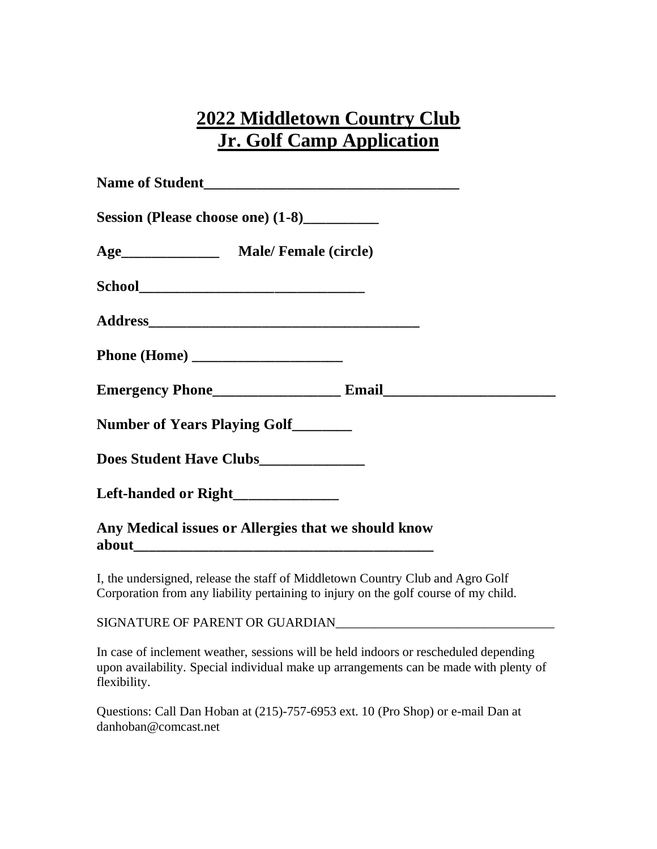## **2022 Middletown Country Club Jr. Golf Camp Application**

| Session (Please choose one) (1-8)__________         |  |  |  |  |  |
|-----------------------------------------------------|--|--|--|--|--|
|                                                     |  |  |  |  |  |
|                                                     |  |  |  |  |  |
|                                                     |  |  |  |  |  |
|                                                     |  |  |  |  |  |
|                                                     |  |  |  |  |  |
| Number of Years Playing Golf_______                 |  |  |  |  |  |
| Does Student Have Clubs_____________                |  |  |  |  |  |
| Left-handed or Right_______________                 |  |  |  |  |  |
| Any Medical issues or Allergies that we should know |  |  |  |  |  |

I, the undersigned, release the staff of Middletown Country Club and Agro Golf Corporation from any liability pertaining to injury on the golf course of my child.

SIGNATURE OF PARENT OR GUARDIAN\_\_\_\_\_\_\_\_\_\_\_\_\_\_\_\_\_\_\_\_\_\_\_\_\_\_\_\_\_\_\_\_\_\_

In case of inclement weather, sessions will be held indoors or rescheduled depending upon availability. Special individual make up arrangements can be made with plenty of flexibility.

Questions: Call Dan Hoban at (215)-757-6953 ext. 10 (Pro Shop) or e-mail Dan at danhoban@comcast.net